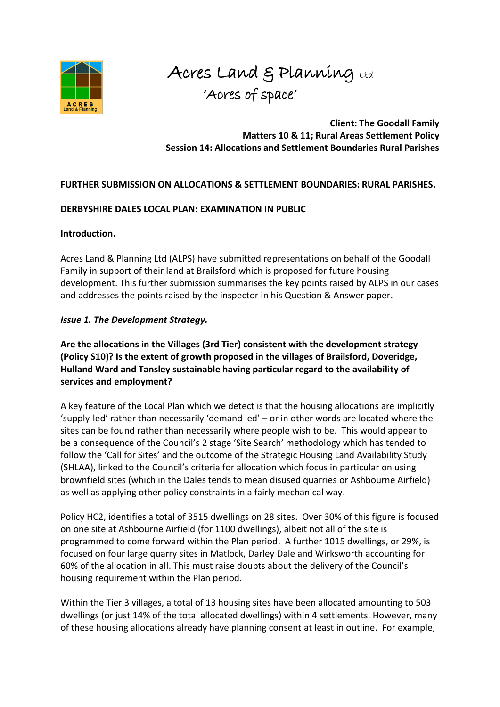

Acres Land & Planning Ltd 'Acres of space'

**Client: The Goodall Family Matters 10 & 11; Rural Areas Settlement Policy Session 14: Allocations and Settlement Boundaries Rural Parishes** 

## **FURTHER SUBMISSION ON ALLOCATIONS & SETTLEMENT BOUNDARIES: RURAL PARISHES.**

#### **DERBYSHIRE DALES LOCAL PLAN: EXAMINATION IN PUBLIC**

#### **Introduction.**

Acres Land & Planning Ltd (ALPS) have submitted representations on behalf of the Goodall Family in support of their land at Brailsford which is proposed for future housing development. This further submission summarises the key points raised by ALPS in our cases and addresses the points raised by the inspector in his Question & Answer paper.

## *Issue 1. The Development Strategy.*

**Are the allocations in the Villages (3rd Tier) consistent with the development strategy (Policy S10)? Is the extent of growth proposed in the villages of Brailsford, Doveridge, Hulland Ward and Tansley sustainable having particular regard to the availability of services and employment?** 

A key feature of the Local Plan which we detect is that the housing allocations are implicitly 'supply-led' rather than necessarily 'demand led' – or in other words are located where the sites can be found rather than necessarily where people wish to be. This would appear to be a consequence of the Council's 2 stage 'Site Search' methodology which has tended to follow the 'Call for Sites' and the outcome of the Strategic Housing Land Availability Study (SHLAA), linked to the Council's criteria for allocation which focus in particular on using brownfield sites (which in the Dales tends to mean disused quarries or Ashbourne Airfield) as well as applying other policy constraints in a fairly mechanical way.

Policy HC2, identifies a total of 3515 dwellings on 28 sites. Over 30% of this figure is focused on one site at Ashbourne Airfield (for 1100 dwellings), albeit not all of the site is programmed to come forward within the Plan period. A further 1015 dwellings, or 29%, is focused on four large quarry sites in Matlock, Darley Dale and Wirksworth accounting for 60% of the allocation in all. This must raise doubts about the delivery of the Council's housing requirement within the Plan period.

Within the Tier 3 villages, a total of 13 housing sites have been allocated amounting to 503 dwellings (or just 14% of the total allocated dwellings) within 4 settlements. However, many of these housing allocations already have planning consent at least in outline. For example,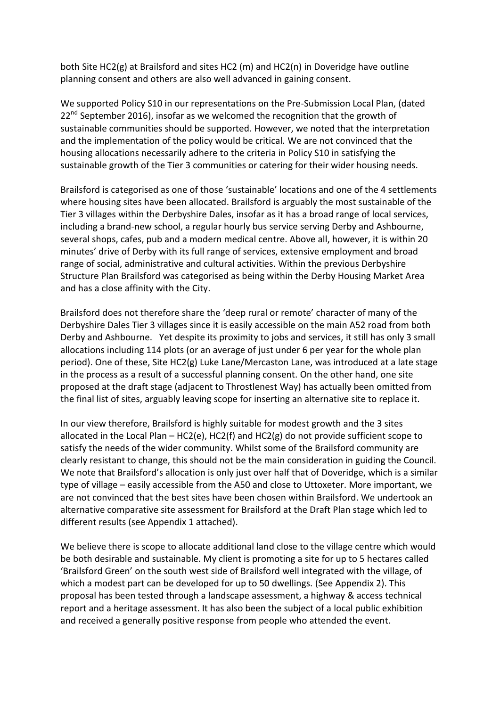both Site HC2(g) at Brailsford and sites HC2 (m) and HC2(n) in Doveridge have outline planning consent and others are also well advanced in gaining consent.

We supported Policy S10 in our representations on the Pre-Submission Local Plan, (dated  $22<sup>nd</sup>$  September 2016), insofar as we welcomed the recognition that the growth of sustainable communities should be supported. However, we noted that the interpretation and the implementation of the policy would be critical. We are not convinced that the housing allocations necessarily adhere to the criteria in Policy S10 in satisfying the sustainable growth of the Tier 3 communities or catering for their wider housing needs.

Brailsford is categorised as one of those 'sustainable' locations and one of the 4 settlements where housing sites have been allocated. Brailsford is arguably the most sustainable of the Tier 3 villages within the Derbyshire Dales, insofar as it has a broad range of local services, including a brand-new school, a regular hourly bus service serving Derby and Ashbourne, several shops, cafes, pub and a modern medical centre. Above all, however, it is within 20 minutes' drive of Derby with its full range of services, extensive employment and broad range of social, administrative and cultural activities. Within the previous Derbyshire Structure Plan Brailsford was categorised as being within the Derby Housing Market Area and has a close affinity with the City.

Brailsford does not therefore share the 'deep rural or remote' character of many of the Derbyshire Dales Tier 3 villages since it is easily accessible on the main A52 road from both Derby and Ashbourne. Yet despite its proximity to jobs and services, it still has only 3 small allocations including 114 plots (or an average of just under 6 per year for the whole plan period). One of these, Site HC2(g) Luke Lane/Mercaston Lane, was introduced at a late stage in the process as a result of a successful planning consent. On the other hand, one site proposed at the draft stage (adjacent to Throstlenest Way) has actually been omitted from the final list of sites, arguably leaving scope for inserting an alternative site to replace it.

In our view therefore, Brailsford is highly suitable for modest growth and the 3 sites allocated in the Local Plan – HC2(e), HC2(f) and HC2(g) do not provide sufficient scope to satisfy the needs of the wider community. Whilst some of the Brailsford community are clearly resistant to change, this should not be the main consideration in guiding the Council. We note that Brailsford's allocation is only just over half that of Doveridge, which is a similar type of village – easily accessible from the A50 and close to Uttoxeter. More important, we are not convinced that the best sites have been chosen within Brailsford. We undertook an alternative comparative site assessment for Brailsford at the Draft Plan stage which led to different results (see Appendix 1 attached).

We believe there is scope to allocate additional land close to the village centre which would be both desirable and sustainable. My client is promoting a site for up to 5 hectares called 'Brailsford Green' on the south west side of Brailsford well integrated with the village, of which a modest part can be developed for up to 50 dwellings. (See Appendix 2). This proposal has been tested through a landscape assessment, a highway & access technical report and a heritage assessment. It has also been the subject of a local public exhibition and received a generally positive response from people who attended the event.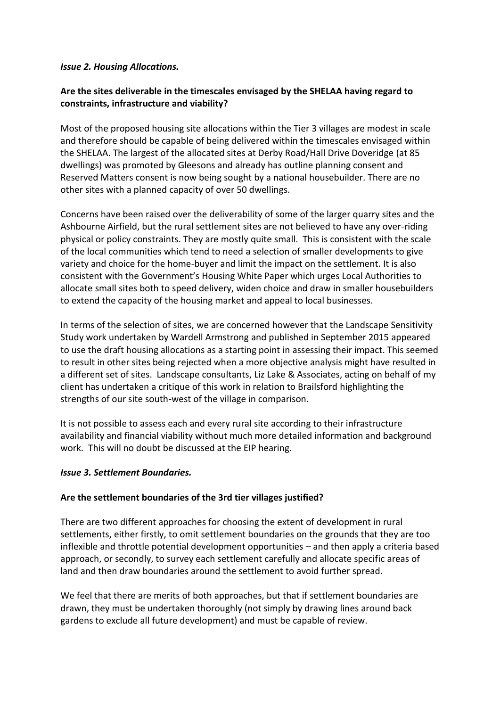#### *Issue 2. Housing Allocations.*

# **Are the sites deliverable in the timescales envisaged by the SHELAA having regard to constraints, infrastructure and viability?**

Most of the proposed housing site allocations within the Tier 3 villages are modest in scale and therefore should be capable of being delivered within the timescales envisaged within the SHELAA. The largest of the allocated sites at Derby Road/Hall Drive Doveridge (at 85 dwellings) was promoted by Gleesons and already has outline planning consent and Reserved Matters consent is now being sought by a national housebuilder. There are no other sites with a planned capacity of over 50 dwellings.

Concerns have been raised over the deliverability of some of the larger quarry sites and the Ashbourne Airfield, but the rural settlement sites are not believed to have any over-riding physical or policy constraints. They are mostly quite small. This is consistent with the scale of the local communities which tend to need a selection of smaller developments to give variety and choice for the home-buyer and limit the impact on the settlement. It is also consistent with the Government's Housing White Paper which urges Local Authorities to allocate small sites both to speed delivery, widen choice and draw in smaller housebuilders to extend the capacity of the housing market and appeal to local businesses.

In terms of the selection of sites, we are concerned however that the Landscape Sensitivity Study work undertaken by Wardell Armstrong and published in September 2015 appeared to use the draft housing allocations as a starting point in assessing their impact. This seemed to result in other sites being rejected when a more objective analysis might have resulted in a different set of sites. Landscape consultants, Liz Lake & Associates, acting on behalf of my client has undertaken a critique of this work in relation to Brailsford highlighting the strengths of our site south-west of the village in comparison.

It is not possible to assess each and every rural site according to their infrastructure availability and financial viability without much more detailed information and background work. This will no doubt be discussed at the EIP hearing.

## *Issue 3. Settlement Boundaries.*

## **Are the settlement boundaries of the 3rd tier villages justified?**

There are two different approaches for choosing the extent of development in rural settlements, either firstly, to omit settlement boundaries on the grounds that they are too inflexible and throttle potential development opportunities – and then apply a criteria based approach, or secondly, to survey each settlement carefully and allocate specific areas of land and then draw boundaries around the settlement to avoid further spread.

We feel that there are merits of both approaches, but that if settlement boundaries are drawn, they must be undertaken thoroughly (not simply by drawing lines around back gardens to exclude all future development) and must be capable of review.